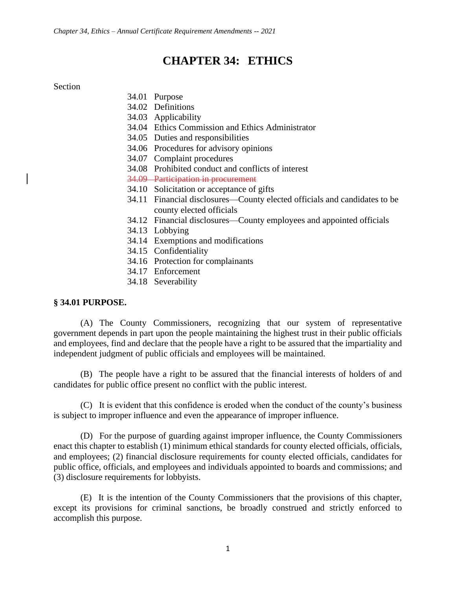# **CHAPTER 34: ETHICS**

#### Section

- 34.01 Purpose
- 34.02 Definitions
- 34.03 Applicability
- 34.04 Ethics Commission and Ethics Administrator
- 34.05 Duties and responsibilities
- 34.06 Procedures for advisory opinions
- 34.07 Complaint procedures
- 34.08 Prohibited conduct and conflicts of interest
- 34.09 Participation in procurement
- 34.10 Solicitation or acceptance of gifts
- 34.11 Financial disclosures—County elected officials and candidates to be county elected officials
- 34.12 Financial disclosures—County employees and appointed officials
- 34.13 Lobbying
- 34.14 Exemptions and modifications
- 34.15 Confidentiality
- 34.16 Protection for complainants
- 34.17 Enforcement
- 34.18 Severability

#### **§ 34.01 PURPOSE.**

(A) The County Commissioners, recognizing that our system of representative government depends in part upon the people maintaining the highest trust in their public officials and employees, find and declare that the people have a right to be assured that the impartiality and independent judgment of public officials and employees will be maintained.

(B) The people have a right to be assured that the financial interests of holders of and candidates for public office present no conflict with the public interest.

(C) It is evident that this confidence is eroded when the conduct of the county's business is subject to improper influence and even the appearance of improper influence.

(D) For the purpose of guarding against improper influence, the County Commissioners enact this chapter to establish (1) minimum ethical standards for county elected officials, officials, and employees; (2) financial disclosure requirements for county elected officials, candidates for public office, officials, and employees and individuals appointed to boards and commissions; and (3) disclosure requirements for lobbyists.

(E) It is the intention of the County Commissioners that the provisions of this chapter, except its provisions for criminal sanctions, be broadly construed and strictly enforced to accomplish this purpose.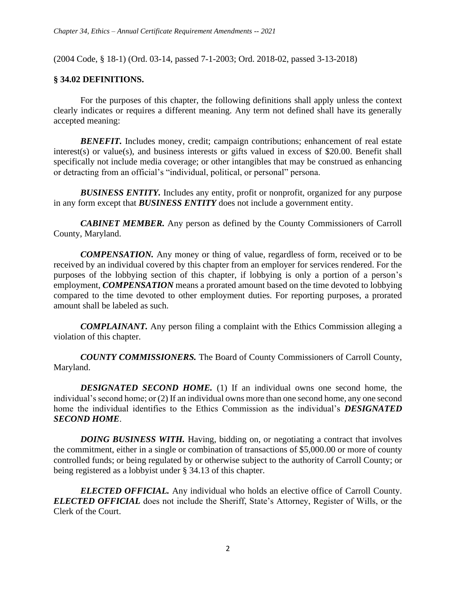(2004 Code, § 18-1) (Ord. 03-14, passed 7-1-2003; Ord. 2018-02, passed 3-13-2018)

#### **§ 34.02 DEFINITIONS.**

For the purposes of this chapter, the following definitions shall apply unless the context clearly indicates or requires a different meaning. Any term not defined shall have its generally accepted meaning:

**BENEFIT.** Includes money, credit; campaign contributions; enhancement of real estate interest(s) or value(s), and business interests or gifts valued in excess of \$20.00. Benefit shall specifically not include media coverage; or other intangibles that may be construed as enhancing or detracting from an official's "individual, political, or personal" persona.

**BUSINESS ENTITY.** Includes any entity, profit or nonprofit, organized for any purpose in any form except that *BUSINESS ENTITY* does not include a government entity.

*CABINET MEMBER.* Any person as defined by the County Commissioners of Carroll County, Maryland.

*COMPENSATION.* Any money or thing of value, regardless of form, received or to be received by an individual covered by this chapter from an employer for services rendered. For the purposes of the lobbying section of this chapter, if lobbying is only a portion of a person's employment, *COMPENSATION* means a prorated amount based on the time devoted to lobbying compared to the time devoted to other employment duties. For reporting purposes, a prorated amount shall be labeled as such.

*COMPLAINANT.* Any person filing a complaint with the Ethics Commission alleging a violation of this chapter.

*COUNTY COMMISSIONERS.* The Board of County Commissioners of Carroll County, Maryland.

*DESIGNATED SECOND HOME.* (1) If an individual owns one second home, the individual's second home; or (2) If an individual owns more than one second home, any one second home the individual identifies to the Ethics Commission as the individual's *DESIGNATED SECOND HOME*.

*DOING BUSINESS WITH.* Having, bidding on, or negotiating a contract that involves the commitment, either in a single or combination of transactions of \$5,000.00 or more of county controlled funds; or being regulated by or otherwise subject to the authority of Carroll County; or being registered as a lobbyist under § 34.13 of this chapter.

**ELECTED OFFICIAL.** Any individual who holds an elective office of Carroll County. *ELECTED OFFICIAL* does not include the Sheriff, State's Attorney, Register of Wills, or the Clerk of the Court.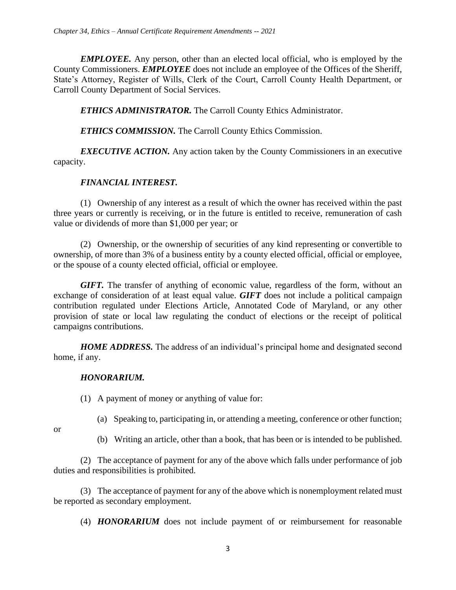*EMPLOYEE.* Any person, other than an elected local official, who is employed by the County Commissioners. *EMPLOYEE* does not include an employee of the Offices of the Sheriff, State's Attorney, Register of Wills, Clerk of the Court, Carroll County Health Department, or Carroll County Department of Social Services.

*ETHICS ADMINISTRATOR.* The Carroll County Ethics Administrator.

*ETHICS COMMISSION.* The Carroll County Ethics Commission.

*EXECUTIVE ACTION*. Any action taken by the County Commissioners in an executive capacity.

### *FINANCIAL INTEREST.*

(1) Ownership of any interest as a result of which the owner has received within the past three years or currently is receiving, or in the future is entitled to receive, remuneration of cash value or dividends of more than \$1,000 per year; or

(2) Ownership, or the ownership of securities of any kind representing or convertible to ownership, of more than 3% of a business entity by a county elected official, official or employee, or the spouse of a county elected official, official or employee.

*GIFT.* The transfer of anything of economic value, regardless of the form, without an exchange of consideration of at least equal value. *GIFT* does not include a political campaign contribution regulated under Elections Article, Annotated Code of Maryland, or any other provision of state or local law regulating the conduct of elections or the receipt of political campaigns contributions.

*HOME ADDRESS.* The address of an individual's principal home and designated second home, if any.

### *HONORARIUM.*

(1) A payment of money or anything of value for:

or

- (a) Speaking to, participating in, or attending a meeting, conference or other function;
- (b) Writing an article, other than a book, that has been or is intended to be published.

(2) The acceptance of payment for any of the above which falls under performance of job duties and responsibilities is prohibited.

(3) The acceptance of payment for any of the above which is nonemployment related must be reported as secondary employment.

(4) *HONORARIUM* does not include payment of or reimbursement for reasonable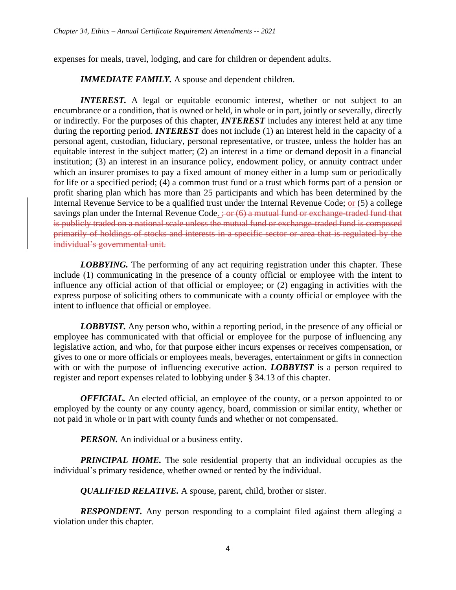expenses for meals, travel, lodging, and care for children or dependent adults.

*IMMEDIATE FAMILY.* A spouse and dependent children.

*INTEREST.* A legal or equitable economic interest, whether or not subject to an encumbrance or a condition, that is owned or held, in whole or in part, jointly or severally, directly or indirectly. For the purposes of this chapter, *INTEREST* includes any interest held at any time during the reporting period. *INTEREST* does not include (1) an interest held in the capacity of a personal agent, custodian, fiduciary, personal representative, or trustee, unless the holder has an equitable interest in the subject matter; (2) an interest in a time or demand deposit in a financial institution; (3) an interest in an insurance policy, endowment policy, or annuity contract under which an insurer promises to pay a fixed amount of money either in a lump sum or periodically for life or a specified period; (4) a common trust fund or a trust which forms part of a pension or profit sharing plan which has more than 25 participants and which has been determined by the Internal Revenue Service to be a qualified trust under the Internal Revenue Code; or (5) a college savings plan under the Internal Revenue Code.  $\frac{1}{2}$  or  $(6)$  a mutual fund or exchange-traded fund that is publicly traded on a national scale unless the mutual fund or exchange-traded fund is composed primarily of holdings of stocks and interests in a specific sector or area that is regulated by the individual's governmental unit.

*LOBBYING*. The performing of any act requiring registration under this chapter. These include (1) communicating in the presence of a county official or employee with the intent to influence any official action of that official or employee; or (2) engaging in activities with the express purpose of soliciting others to communicate with a county official or employee with the intent to influence that official or employee.

*LOBBYIST*. Any person who, within a reporting period, in the presence of any official or employee has communicated with that official or employee for the purpose of influencing any legislative action, and who, for that purpose either incurs expenses or receives compensation, or gives to one or more officials or employees meals, beverages, entertainment or gifts in connection with or with the purpose of influencing executive action. *LOBBYIST* is a person required to register and report expenses related to lobbying under § 34.13 of this chapter.

*OFFICIAL*. An elected official, an employee of the county, or a person appointed to or employed by the county or any county agency, board, commission or similar entity, whether or not paid in whole or in part with county funds and whether or not compensated.

*PERSON*. An individual or a business entity.

*PRINCIPAL HOME*. The sole residential property that an individual occupies as the individual's primary residence, whether owned or rented by the individual.

*QUALIFIED RELATIVE.* A spouse, parent, child, brother or sister.

*RESPONDENT*. Any person responding to a complaint filed against them alleging a violation under this chapter.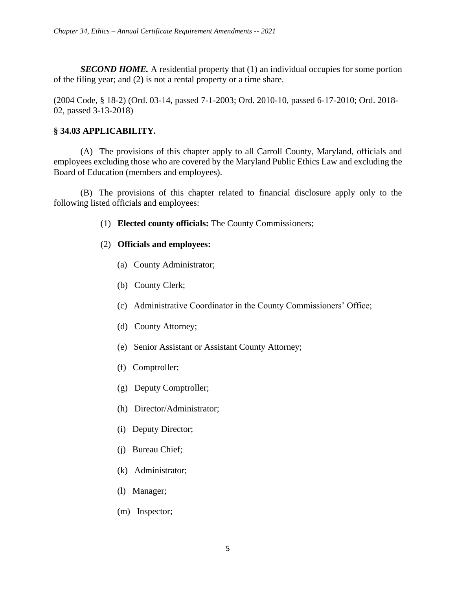*SECOND HOME*. A residential property that (1) an individual occupies for some portion of the filing year; and (2) is not a rental property or a time share.

(2004 Code, § 18-2) (Ord. 03-14, passed 7-1-2003; Ord. 2010-10, passed 6-17-2010; Ord. 2018- 02, passed 3-13-2018)

## **§ 34.03 APPLICABILITY.**

(A) The provisions of this chapter apply to all Carroll County, Maryland, officials and employees excluding those who are covered by the Maryland Public Ethics Law and excluding the Board of Education (members and employees).

(B) The provisions of this chapter related to financial disclosure apply only to the following listed officials and employees:

(1) **Elected county officials:** The County Commissioners;

### (2) **Officials and employees:**

- (a) County Administrator;
- (b) County Clerk;
- (c) Administrative Coordinator in the County Commissioners' Office;
- (d) County Attorney;
- (e) Senior Assistant or Assistant County Attorney;
- (f) Comptroller;
- (g) Deputy Comptroller;
- (h) Director/Administrator;
- (i) Deputy Director;
- (j) Bureau Chief;
- (k) Administrator;
- (l) Manager;
- (m) Inspector;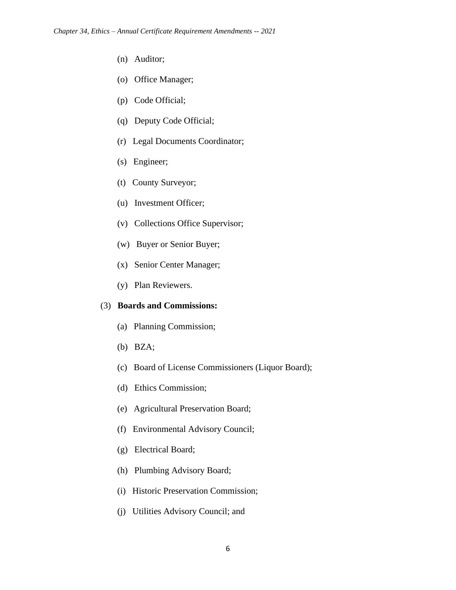- (n) Auditor;
- (o) Office Manager;
- (p) Code Official;
- (q) Deputy Code Official;
- (r) Legal Documents Coordinator;
- (s) Engineer;
- (t) County Surveyor;
- (u) Investment Officer;
- (v) Collections Office Supervisor;
- (w) Buyer or Senior Buyer;
- (x) Senior Center Manager;
- (y) Plan Reviewers.

#### (3) **Boards and Commissions:**

- (a) Planning Commission;
- (b) BZA;
- (c) Board of License Commissioners (Liquor Board);
- (d) Ethics Commission;
- (e) Agricultural Preservation Board;
- (f) Environmental Advisory Council;
- (g) Electrical Board;
- (h) Plumbing Advisory Board;
- (i) Historic Preservation Commission;
- (j) Utilities Advisory Council; and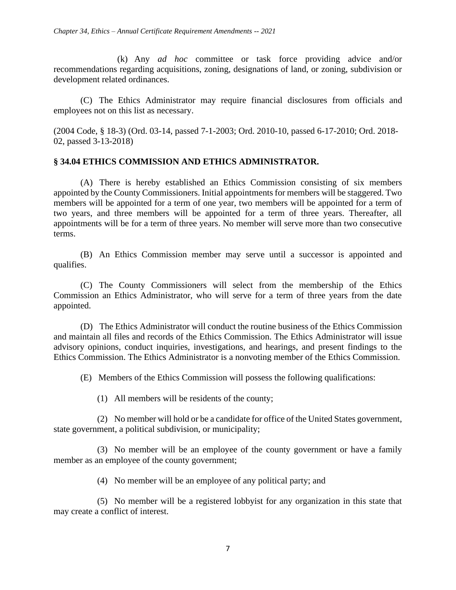(k) Any *ad hoc* committee or task force providing advice and/or recommendations regarding acquisitions, zoning, designations of land, or zoning, subdivision or development related ordinances.

(C) The Ethics Administrator may require financial disclosures from officials and employees not on this list as necessary.

(2004 Code, § 18-3) (Ord. 03-14, passed 7-1-2003; Ord. 2010-10, passed 6-17-2010; Ord. 2018- 02, passed 3-13-2018)

#### **§ 34.04 ETHICS COMMISSION AND ETHICS ADMINISTRATOR.**

(A) There is hereby established an Ethics Commission consisting of six members appointed by the County Commissioners. Initial appointments for members will be staggered. Two members will be appointed for a term of one year, two members will be appointed for a term of two years, and three members will be appointed for a term of three years. Thereafter, all appointments will be for a term of three years. No member will serve more than two consecutive terms.

(B) An Ethics Commission member may serve until a successor is appointed and qualifies.

(C) The County Commissioners will select from the membership of the Ethics Commission an Ethics Administrator, who will serve for a term of three years from the date appointed.

(D) The Ethics Administrator will conduct the routine business of the Ethics Commission and maintain all files and records of the Ethics Commission. The Ethics Administrator will issue advisory opinions, conduct inquiries, investigations, and hearings, and present findings to the Ethics Commission. The Ethics Administrator is a nonvoting member of the Ethics Commission.

(E) Members of the Ethics Commission will possess the following qualifications:

(1) All members will be residents of the county;

(2) No member will hold or be a candidate for office of the United States government, state government, a political subdivision, or municipality;

(3) No member will be an employee of the county government or have a family member as an employee of the county government;

(4) No member will be an employee of any political party; and

(5) No member will be a registered lobbyist for any organization in this state that may create a conflict of interest.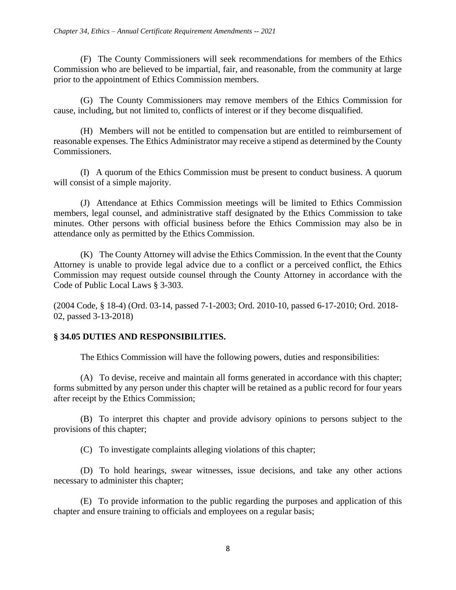(F) The County Commissioners will seek recommendations for members of the Ethics Commission who are believed to be impartial, fair, and reasonable, from the community at large prior to the appointment of Ethics Commission members.

(G) The County Commissioners may remove members of the Ethics Commission for cause, including, but not limited to, conflicts of interest or if they become disqualified.

(H) Members will not be entitled to compensation but are entitled to reimbursement of reasonable expenses. The Ethics Administrator may receive a stipend as determined by the County Commissioners.

(I) A quorum of the Ethics Commission must be present to conduct business. A quorum will consist of a simple majority.

(J) Attendance at Ethics Commission meetings will be limited to Ethics Commission members, legal counsel, and administrative staff designated by the Ethics Commission to take minutes. Other persons with official business before the Ethics Commission may also be in attendance only as permitted by the Ethics Commission.

(K) The County Attorney will advise the Ethics Commission. In the event that the County Attorney is unable to provide legal advice due to a conflict or a perceived conflict, the Ethics Commission may request outside counsel through the County Attorney in accordance with the Code of Public Local Laws § 3-303.

(2004 Code, § 18-4) (Ord. 03-14, passed 7-1-2003; Ord. 2010-10, passed 6-17-2010; Ord. 2018- 02, passed 3-13-2018)

# **§ 34.05 DUTIES AND RESPONSIBILITIES.**

The Ethics Commission will have the following powers, duties and responsibilities:

(A) To devise, receive and maintain all forms generated in accordance with this chapter; forms submitted by any person under this chapter will be retained as a public record for four years after receipt by the Ethics Commission;

(B) To interpret this chapter and provide advisory opinions to persons subject to the provisions of this chapter;

(C) To investigate complaints alleging violations of this chapter;

(D) To hold hearings, swear witnesses, issue decisions, and take any other actions necessary to administer this chapter;

(E) To provide information to the public regarding the purposes and application of this chapter and ensure training to officials and employees on a regular basis;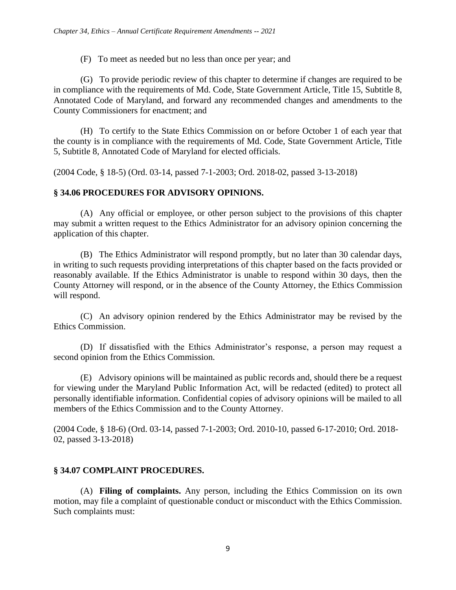(F) To meet as needed but no less than once per year; and

(G) To provide periodic review of this chapter to determine if changes are required to be in compliance with the requirements of Md. Code, State Government Article, Title 15, Subtitle 8, Annotated Code of Maryland, and forward any recommended changes and amendments to the County Commissioners for enactment; and

(H) To certify to the State Ethics Commission on or before October 1 of each year that the county is in compliance with the requirements of Md. Code, State Government Article, Title 5, Subtitle 8, Annotated Code of Maryland for elected officials.

(2004 Code, § 18-5) (Ord. 03-14, passed 7-1-2003; Ord. 2018-02, passed 3-13-2018)

# **§ 34.06 PROCEDURES FOR ADVISORY OPINIONS.**

(A) Any official or employee, or other person subject to the provisions of this chapter may submit a written request to the Ethics Administrator for an advisory opinion concerning the application of this chapter.

(B) The Ethics Administrator will respond promptly, but no later than 30 calendar days, in writing to such requests providing interpretations of this chapter based on the facts provided or reasonably available. If the Ethics Administrator is unable to respond within 30 days, then the County Attorney will respond, or in the absence of the County Attorney, the Ethics Commission will respond.

(C) An advisory opinion rendered by the Ethics Administrator may be revised by the Ethics Commission.

(D) If dissatisfied with the Ethics Administrator's response, a person may request a second opinion from the Ethics Commission.

(E) Advisory opinions will be maintained as public records and, should there be a request for viewing under the Maryland Public Information Act, will be redacted (edited) to protect all personally identifiable information. Confidential copies of advisory opinions will be mailed to all members of the Ethics Commission and to the County Attorney.

(2004 Code, § 18-6) (Ord. 03-14, passed 7-1-2003; Ord. 2010-10, passed 6-17-2010; Ord. 2018- 02, passed 3-13-2018)

# **§ 34.07 COMPLAINT PROCEDURES.**

(A) **Filing of complaints.** Any person, including the Ethics Commission on its own motion, may file a complaint of questionable conduct or misconduct with the Ethics Commission. Such complaints must: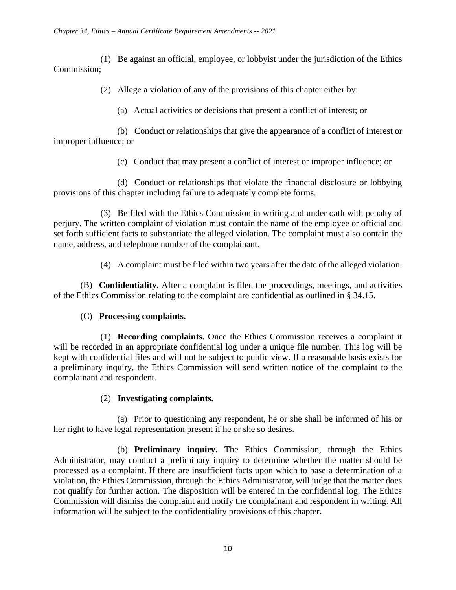(1) Be against an official, employee, or lobbyist under the jurisdiction of the Ethics Commission;

(2) Allege a violation of any of the provisions of this chapter either by:

(a) Actual activities or decisions that present a conflict of interest; or

(b) Conduct or relationships that give the appearance of a conflict of interest or improper influence; or

(c) Conduct that may present a conflict of interest or improper influence; or

(d) Conduct or relationships that violate the financial disclosure or lobbying provisions of this chapter including failure to adequately complete forms.

(3) Be filed with the Ethics Commission in writing and under oath with penalty of perjury. The written complaint of violation must contain the name of the employee or official and set forth sufficient facts to substantiate the alleged violation. The complaint must also contain the name, address, and telephone number of the complainant.

(4) A complaint must be filed within two years after the date of the alleged violation.

(B) **Confidentiality.** After a complaint is filed the proceedings, meetings, and activities of the Ethics Commission relating to the complaint are confidential as outlined in § 34.15.

# (C) **Processing complaints.**

(1) **Recording complaints.** Once the Ethics Commission receives a complaint it will be recorded in an appropriate confidential log under a unique file number. This log will be kept with confidential files and will not be subject to public view. If a reasonable basis exists for a preliminary inquiry, the Ethics Commission will send written notice of the complaint to the complainant and respondent.

### (2) **Investigating complaints.**

(a) Prior to questioning any respondent, he or she shall be informed of his or her right to have legal representation present if he or she so desires.

(b) **Preliminary inquiry.** The Ethics Commission, through the Ethics Administrator, may conduct a preliminary inquiry to determine whether the matter should be processed as a complaint. If there are insufficient facts upon which to base a determination of a violation, the Ethics Commission, through the Ethics Administrator, will judge that the matter does not qualify for further action. The disposition will be entered in the confidential log. The Ethics Commission will dismiss the complaint and notify the complainant and respondent in writing. All information will be subject to the confidentiality provisions of this chapter.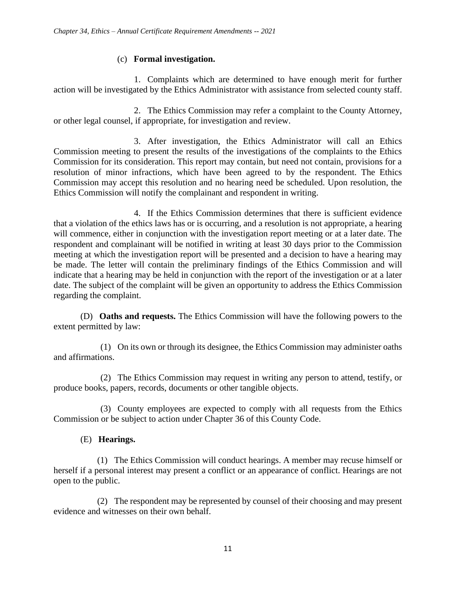### (c) **Formal investigation.**

1. Complaints which are determined to have enough merit for further action will be investigated by the Ethics Administrator with assistance from selected county staff.

2. The Ethics Commission may refer a complaint to the County Attorney, or other legal counsel, if appropriate, for investigation and review.

3. After investigation, the Ethics Administrator will call an Ethics Commission meeting to present the results of the investigations of the complaints to the Ethics Commission for its consideration. This report may contain, but need not contain, provisions for a resolution of minor infractions, which have been agreed to by the respondent. The Ethics Commission may accept this resolution and no hearing need be scheduled. Upon resolution, the Ethics Commission will notify the complainant and respondent in writing.

4. If the Ethics Commission determines that there is sufficient evidence that a violation of the ethics laws has or is occurring, and a resolution is not appropriate, a hearing will commence, either in conjunction with the investigation report meeting or at a later date. The respondent and complainant will be notified in writing at least 30 days prior to the Commission meeting at which the investigation report will be presented and a decision to have a hearing may be made. The letter will contain the preliminary findings of the Ethics Commission and will indicate that a hearing may be held in conjunction with the report of the investigation or at a later date. The subject of the complaint will be given an opportunity to address the Ethics Commission regarding the complaint.

(D) **Oaths and requests.** The Ethics Commission will have the following powers to the extent permitted by law:

(1) On its own or through its designee, the Ethics Commission may administer oaths and affirmations.

(2) The Ethics Commission may request in writing any person to attend, testify, or produce books, papers, records, documents or other tangible objects.

(3) County employees are expected to comply with all requests from the Ethics Commission or be subject to action under Chapter 36 of this County Code.

### (E) **Hearings.**

(1) The Ethics Commission will conduct hearings. A member may recuse himself or herself if a personal interest may present a conflict or an appearance of conflict. Hearings are not open to the public.

(2) The respondent may be represented by counsel of their choosing and may present evidence and witnesses on their own behalf.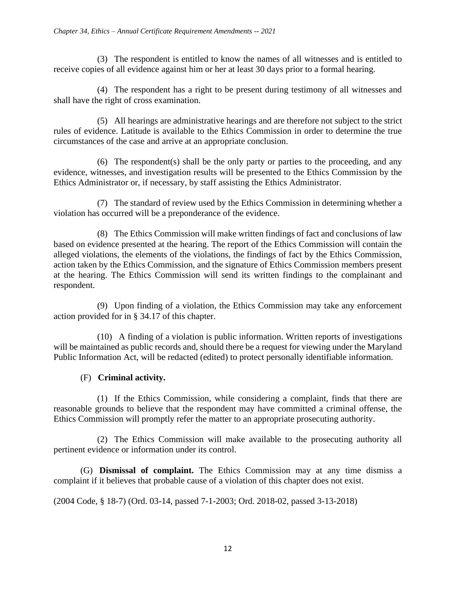(3) The respondent is entitled to know the names of all witnesses and is entitled to receive copies of all evidence against him or her at least 30 days prior to a formal hearing.

(4) The respondent has a right to be present during testimony of all witnesses and shall have the right of cross examination.

(5) All hearings are administrative hearings and are therefore not subject to the strict rules of evidence. Latitude is available to the Ethics Commission in order to determine the true circumstances of the case and arrive at an appropriate conclusion.

(6) The respondent(s) shall be the only party or parties to the proceeding, and any evidence, witnesses, and investigation results will be presented to the Ethics Commission by the Ethics Administrator or, if necessary, by staff assisting the Ethics Administrator.

(7) The standard of review used by the Ethics Commission in determining whether a violation has occurred will be a preponderance of the evidence.

(8) The Ethics Commission will make written findings of fact and conclusions of law based on evidence presented at the hearing. The report of the Ethics Commission will contain the alleged violations, the elements of the violations, the findings of fact by the Ethics Commission, action taken by the Ethics Commission, and the signature of Ethics Commission members present at the hearing. The Ethics Commission will send its written findings to the complainant and respondent.

(9) Upon finding of a violation, the Ethics Commission may take any enforcement action provided for in § 34.17 of this chapter.

(10) A finding of a violation is public information. Written reports of investigations will be maintained as public records and, should there be a request for viewing under the Maryland Public Information Act, will be redacted (edited) to protect personally identifiable information.

# (F) **Criminal activity.**

(1) If the Ethics Commission, while considering a complaint, finds that there are reasonable grounds to believe that the respondent may have committed a criminal offense, the Ethics Commission will promptly refer the matter to an appropriate prosecuting authority.

(2) The Ethics Commission will make available to the prosecuting authority all pertinent evidence or information under its control.

(G) **Dismissal of complaint.** The Ethics Commission may at any time dismiss a complaint if it believes that probable cause of a violation of this chapter does not exist.

(2004 Code, § 18-7) (Ord. 03-14, passed 7-1-2003; Ord. 2018-02, passed 3-13-2018)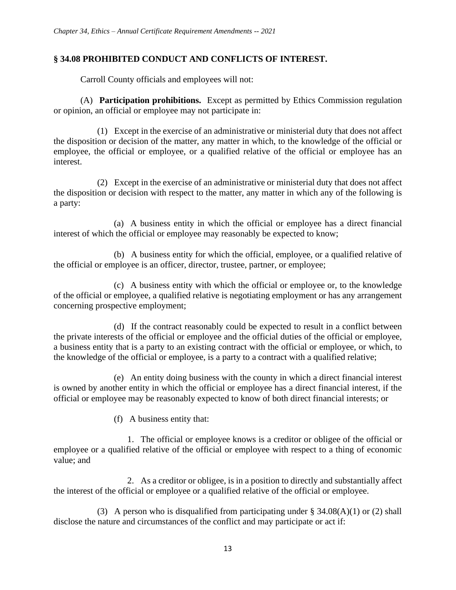### **§ 34.08 PROHIBITED CONDUCT AND CONFLICTS OF INTEREST.**

Carroll County officials and employees will not:

(A) **Participation prohibitions.** Except as permitted by Ethics Commission regulation or opinion, an official or employee may not participate in:

(1) Except in the exercise of an administrative or ministerial duty that does not affect the disposition or decision of the matter, any matter in which, to the knowledge of the official or employee, the official or employee, or a qualified relative of the official or employee has an interest.

(2) Except in the exercise of an administrative or ministerial duty that does not affect the disposition or decision with respect to the matter, any matter in which any of the following is a party:

(a) A business entity in which the official or employee has a direct financial interest of which the official or employee may reasonably be expected to know;

(b) A business entity for which the official, employee, or a qualified relative of the official or employee is an officer, director, trustee, partner, or employee;

(c) A business entity with which the official or employee or, to the knowledge of the official or employee, a qualified relative is negotiating employment or has any arrangement concerning prospective employment;

(d) If the contract reasonably could be expected to result in a conflict between the private interests of the official or employee and the official duties of the official or employee, a business entity that is a party to an existing contract with the official or employee, or which, to the knowledge of the official or employee, is a party to a contract with a qualified relative;

(e) An entity doing business with the county in which a direct financial interest is owned by another entity in which the official or employee has a direct financial interest, if the official or employee may be reasonably expected to know of both direct financial interests; or

(f) A business entity that:

1. The official or employee knows is a creditor or obligee of the official or employee or a qualified relative of the official or employee with respect to a thing of economic value; and

2. As a creditor or obligee, is in a position to directly and substantially affect the interest of the official or employee or a qualified relative of the official or employee.

(3) A person who is disqualified from participating under  $\S 34.08(A)(1)$  or (2) shall disclose the nature and circumstances of the conflict and may participate or act if: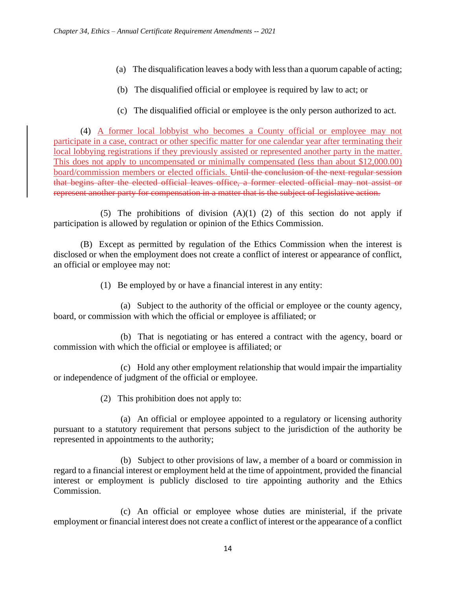- (a) The disqualification leaves a body with less than a quorum capable of acting;
- (b) The disqualified official or employee is required by law to act; or
- (c) The disqualified official or employee is the only person authorized to act.

(4) A former local lobbyist who becomes a County official or employee may not participate in a case, contract or other specific matter for one calendar year after terminating their local lobbying registrations if they previously assisted or represented another party in the matter. This does not apply to uncompensated or minimally compensated (less than about \$12,000.00) board/commission members or elected officials. Until the conclusion of the next regular session that begins after the elected official leaves office, a former elected official may not assist or represent another party for compensation in a matter that is the subject of legislative action.

(5) The prohibitions of division  $(A)(1)$  (2) of this section do not apply if participation is allowed by regulation or opinion of the Ethics Commission.

(B) Except as permitted by regulation of the Ethics Commission when the interest is disclosed or when the employment does not create a conflict of interest or appearance of conflict, an official or employee may not:

(1) Be employed by or have a financial interest in any entity:

(a) Subject to the authority of the official or employee or the county agency, board, or commission with which the official or employee is affiliated; or

(b) That is negotiating or has entered a contract with the agency, board or commission with which the official or employee is affiliated; or

(c) Hold any other employment relationship that would impair the impartiality or independence of judgment of the official or employee.

(2) This prohibition does not apply to:

(a) An official or employee appointed to a regulatory or licensing authority pursuant to a statutory requirement that persons subject to the jurisdiction of the authority be represented in appointments to the authority;

(b) Subject to other provisions of law, a member of a board or commission in regard to a financial interest or employment held at the time of appointment, provided the financial interest or employment is publicly disclosed to tire appointing authority and the Ethics Commission.

(c) An official or employee whose duties are ministerial, if the private employment or financial interest does not create a conflict of interest or the appearance of a conflict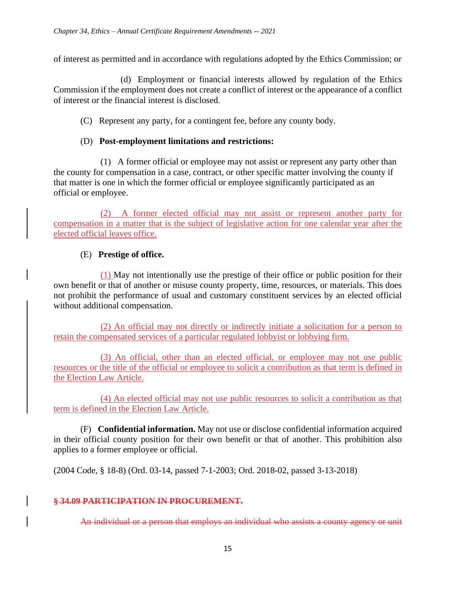of interest as permitted and in accordance with regulations adopted by the Ethics Commission; or

(d) Employment or financial interests allowed by regulation of the Ethics Commission if the employment does not create a conflict of interest or the appearance of a conflict of interest or the financial interest is disclosed.

(C) Represent any party, for a contingent fee, before any county body.

#### (D) **Post-employment limitations and restrictions:**

(1) A former official or employee may not assist or represent any party other than the county for compensation in a case, contract, or other specific matter involving the county if that matter is one in which the former official or employee significantly participated as an official or employee.

(2) A former elected official may not assist or represent another party for compensation in a matter that is the subject of legislative action for one calendar year after the elected official leaves office.

### (E) **Prestige of office.**

(1) May not intentionally use the prestige of their office or public position for their own benefit or that of another or misuse county property, time, resources, or materials. This does not prohibit the performance of usual and customary constituent services by an elected official without additional compensation.

(2) An official may not directly or indirectly initiate a solicitation for a person to retain the compensated services of a particular regulated lobbyist or lobbying firm.

(3) An official, other than an elected official, or employee may not use public resources or the title of the official or employee to solicit a contribution as that term is defined in the Election Law Article.

(4) An elected official may not use public resources to solicit a contribution as that term is defined in the Election Law Article.

(F) **Confidential information.** May not use or disclose confidential information acquired in their official county position for their own benefit or that of another. This prohibition also applies to a former employee or official.

(2004 Code, § 18-8) (Ord. 03-14, passed 7-1-2003; Ord. 2018-02, passed 3-13-2018)

#### **§ 34.09 PARTICIPATION IN PROCUREMENT.**

An individual or a person that employs an individual who assists a county agency or unit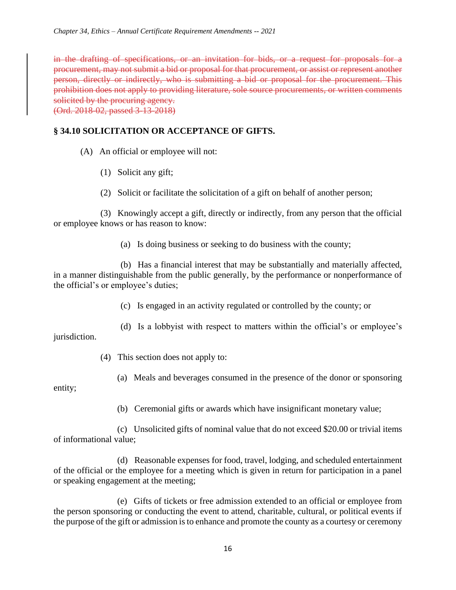in the drafting of specifications, or an invitation for bids, or a request for proposals for a procurement, may not submit a bid or proposal for that procurement, or assist or represent another person, directly or indirectly, who is submitting a bid or proposal for the procurement. This prohibition does not apply to providing literature, sole source procurements, or written comments solicited by the procuring agency. (Ord. 2018-02, passed 3-13-2018)

**§ 34.10 SOLICITATION OR ACCEPTANCE OF GIFTS.**

- (A) An official or employee will not:
	- (1) Solicit any gift;
	- (2) Solicit or facilitate the solicitation of a gift on behalf of another person;

(3) Knowingly accept a gift, directly or indirectly, from any person that the official or employee knows or has reason to know:

(a) Is doing business or seeking to do business with the county;

(b) Has a financial interest that may be substantially and materially affected, in a manner distinguishable from the public generally, by the performance or nonperformance of the official's or employee's duties;

- (c) Is engaged in an activity regulated or controlled by the county; or
- (d) Is a lobbyist with respect to matters within the official's or employee's jurisdiction.
	- (4) This section does not apply to:
		- (a) Meals and beverages consumed in the presence of the donor or sponsoring

entity;

(b) Ceremonial gifts or awards which have insignificant monetary value;

(c) Unsolicited gifts of nominal value that do not exceed \$20.00 or trivial items of informational value;

(d) Reasonable expenses for food, travel, lodging, and scheduled entertainment of the official or the employee for a meeting which is given in return for participation in a panel or speaking engagement at the meeting;

(e) Gifts of tickets or free admission extended to an official or employee from the person sponsoring or conducting the event to attend, charitable, cultural, or political events if the purpose of the gift or admission is to enhance and promote the county as a courtesy or ceremony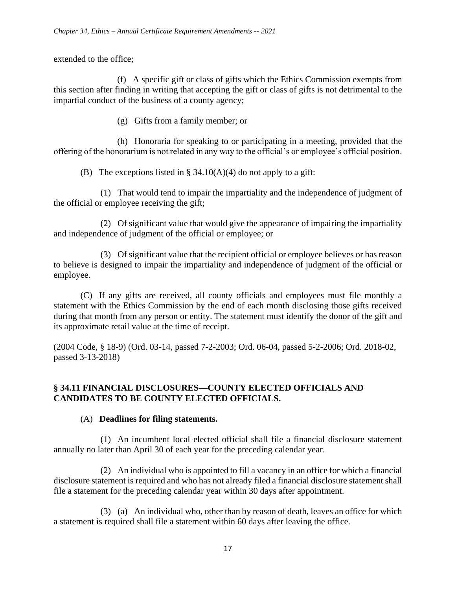extended to the office;

(f) A specific gift or class of gifts which the Ethics Commission exempts from this section after finding in writing that accepting the gift or class of gifts is not detrimental to the impartial conduct of the business of a county agency;

(g) Gifts from a family member; or

(h) Honoraria for speaking to or participating in a meeting, provided that the offering of the honorarium is not related in any way to the official's or employee's official position.

(B) The exceptions listed in § 34.10(A)(4) do not apply to a gift:

(1) That would tend to impair the impartiality and the independence of judgment of the official or employee receiving the gift;

(2) Of significant value that would give the appearance of impairing the impartiality and independence of judgment of the official or employee; or

(3) Of significant value that the recipient official or employee believes or has reason to believe is designed to impair the impartiality and independence of judgment of the official or employee.

(C) If any gifts are received, all county officials and employees must file monthly a statement with the Ethics Commission by the end of each month disclosing those gifts received during that month from any person or entity. The statement must identify the donor of the gift and its approximate retail value at the time of receipt.

(2004 Code, § 18-9) (Ord. 03-14, passed 7-2-2003; Ord. 06-04, passed 5-2-2006; Ord. 2018-02, passed 3-13-2018)

### **§ 34.11 FINANCIAL DISCLOSURES—COUNTY ELECTED OFFICIALS AND CANDIDATES TO BE COUNTY ELECTED OFFICIALS.**

### (A) **Deadlines for filing statements.**

(1) An incumbent local elected official shall file a financial disclosure statement annually no later than April 30 of each year for the preceding calendar year.

(2) An individual who is appointed to fill a vacancy in an office for which a financial disclosure statement is required and who has not already filed a financial disclosure statement shall file a statement for the preceding calendar year within 30 days after appointment.

(3) (a) An individual who, other than by reason of death, leaves an office for which a statement is required shall file a statement within 60 days after leaving the office.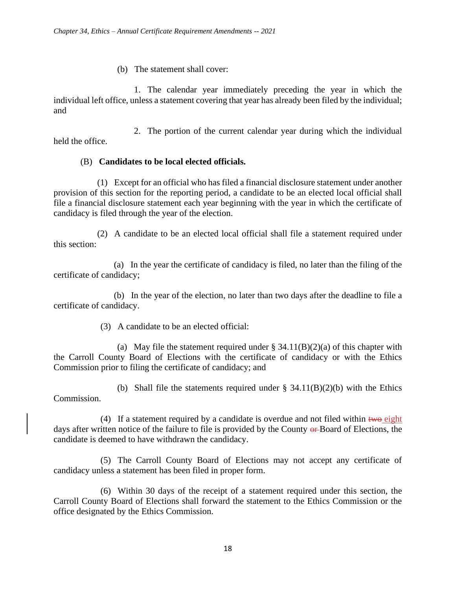### (b) The statement shall cover:

1. The calendar year immediately preceding the year in which the individual left office, unless a statement covering that year has already been filed by the individual; and

2. The portion of the current calendar year during which the individual held the office.

### (B) **Candidates to be local elected officials.**

(1) Except for an official who has filed a financial disclosure statement under another provision of this section for the reporting period, a candidate to be an elected local official shall file a financial disclosure statement each year beginning with the year in which the certificate of candidacy is filed through the year of the election.

(2) A candidate to be an elected local official shall file a statement required under this section:

(a) In the year the certificate of candidacy is filed, no later than the filing of the certificate of candidacy;

(b) In the year of the election, no later than two days after the deadline to file a certificate of candidacy.

(3) A candidate to be an elected official:

(a) May file the statement required under  $\S$  34.11(B)(2)(a) of this chapter with the Carroll County Board of Elections with the certificate of candidacy or with the Ethics Commission prior to filing the certificate of candidacy; and

(b) Shall file the statements required under  $\S$  34.11(B)(2)(b) with the Ethics Commission.

(4) If a statement required by a candidate is overdue and not filed within  $t_{w0}$  eight days after written notice of the failure to file is provided by the County or Board of Elections, the candidate is deemed to have withdrawn the candidacy.

(5) The Carroll County Board of Elections may not accept any certificate of candidacy unless a statement has been filed in proper form.

(6) Within 30 days of the receipt of a statement required under this section, the Carroll County Board of Elections shall forward the statement to the Ethics Commission or the office designated by the Ethics Commission.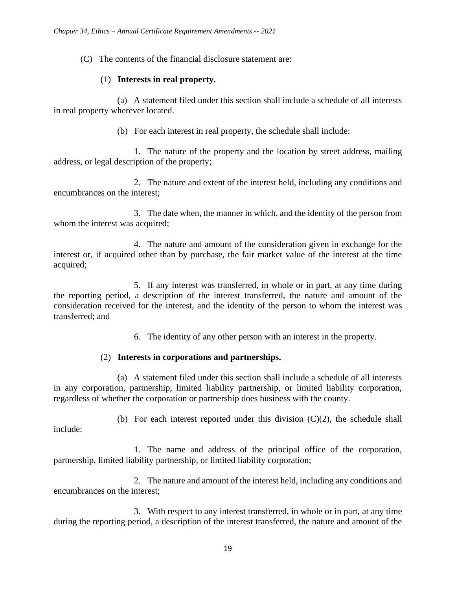(C) The contents of the financial disclosure statement are:

#### (1) **Interests in real property.**

(a) A statement filed under this section shall include a schedule of all interests in real property wherever located.

(b) For each interest in real property, the schedule shall include:

1. The nature of the property and the location by street address, mailing address, or legal description of the property;

2. The nature and extent of the interest held, including any conditions and encumbrances on the interest;

3. The date when, the manner in which, and the identity of the person from whom the interest was acquired;

4. The nature and amount of the consideration given in exchange for the interest or, if acquired other than by purchase, the fair market value of the interest at the time acquired;

5. If any interest was transferred, in whole or in part, at any time during the reporting period, a description of the interest transferred, the nature and amount of the consideration received for the interest, and the identity of the person to whom the interest was transferred; and

6. The identity of any other person with an interest in the property.

### (2) **Interests in corporations and partnerships.**

(a) A statement filed under this section shall include a schedule of all interests in any corporation, partnership, limited liability partnership, or limited liability corporation, regardless of whether the corporation or partnership does business with the county.

(b) For each interest reported under this division  $(C)(2)$ , the schedule shall include:

1. The name and address of the principal office of the corporation, partnership, limited liability partnership, or limited liability corporation;

2. The nature and amount of the interest held, including any conditions and encumbrances on the interest;

3. With respect to any interest transferred, in whole or in part, at any time during the reporting period, a description of the interest transferred, the nature and amount of the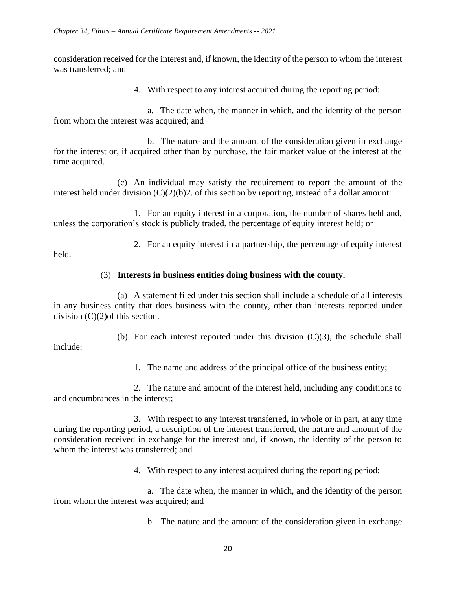consideration received for the interest and, if known, the identity of the person to whom the interest was transferred; and

4. With respect to any interest acquired during the reporting period:

a. The date when, the manner in which, and the identity of the person from whom the interest was acquired; and

b. The nature and the amount of the consideration given in exchange for the interest or, if acquired other than by purchase, the fair market value of the interest at the time acquired.

(c) An individual may satisfy the requirement to report the amount of the interest held under division (C)(2)(b)2. of this section by reporting, instead of a dollar amount:

1. For an equity interest in a corporation, the number of shares held and, unless the corporation's stock is publicly traded, the percentage of equity interest held; or

2. For an equity interest in a partnership, the percentage of equity interest

held.

include:

### (3) **Interests in business entities doing business with the county.**

(a) A statement filed under this section shall include a schedule of all interests in any business entity that does business with the county, other than interests reported under division (C)(2)of this section.

(b) For each interest reported under this division  $(C)(3)$ , the schedule shall

1. The name and address of the principal office of the business entity;

2. The nature and amount of the interest held, including any conditions to and encumbrances in the interest;

3. With respect to any interest transferred, in whole or in part, at any time during the reporting period, a description of the interest transferred, the nature and amount of the consideration received in exchange for the interest and, if known, the identity of the person to whom the interest was transferred; and

4. With respect to any interest acquired during the reporting period:

a. The date when, the manner in which, and the identity of the person from whom the interest was acquired; and

b. The nature and the amount of the consideration given in exchange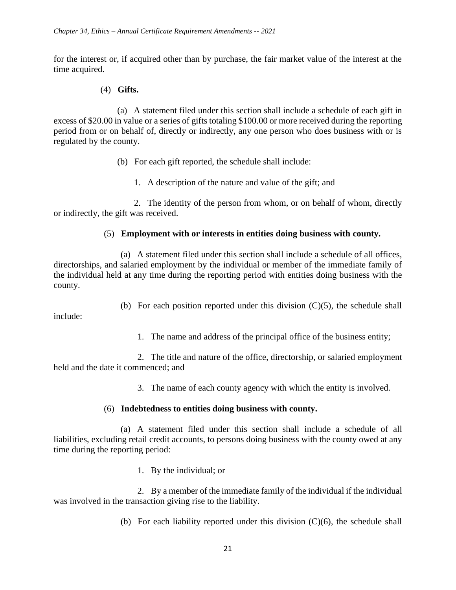for the interest or, if acquired other than by purchase, the fair market value of the interest at the time acquired.

#### (4) **Gifts.**

(a) A statement filed under this section shall include a schedule of each gift in excess of \$20.00 in value or a series of gifts totaling \$100.00 or more received during the reporting period from or on behalf of, directly or indirectly, any one person who does business with or is regulated by the county.

- (b) For each gift reported, the schedule shall include:
	- 1. A description of the nature and value of the gift; and

2. The identity of the person from whom, or on behalf of whom, directly or indirectly, the gift was received.

### (5) **Employment with or interests in entities doing business with county.**

(a) A statement filed under this section shall include a schedule of all offices, directorships, and salaried employment by the individual or member of the immediate family of the individual held at any time during the reporting period with entities doing business with the county.

(b) For each position reported under this division  $(C)(5)$ , the schedule shall

include:

1. The name and address of the principal office of the business entity;

2. The title and nature of the office, directorship, or salaried employment held and the date it commenced; and

3. The name of each county agency with which the entity is involved.

### (6) **Indebtedness to entities doing business with county.**

(a) A statement filed under this section shall include a schedule of all liabilities, excluding retail credit accounts, to persons doing business with the county owed at any time during the reporting period:

1. By the individual; or

2. By a member of the immediate family of the individual if the individual was involved in the transaction giving rise to the liability.

(b) For each liability reported under this division (C)(6), the schedule shall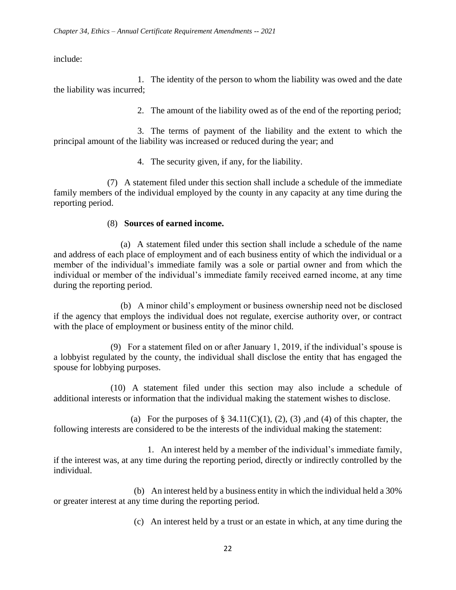include:

1. The identity of the person to whom the liability was owed and the date the liability was incurred;

2. The amount of the liability owed as of the end of the reporting period;

3. The terms of payment of the liability and the extent to which the principal amount of the liability was increased or reduced during the year; and

4. The security given, if any, for the liability.

(7) A statement filed under this section shall include a schedule of the immediate family members of the individual employed by the county in any capacity at any time during the reporting period.

### (8) **Sources of earned income.**

(a) A statement filed under this section shall include a schedule of the name and address of each place of employment and of each business entity of which the individual or a member of the individual's immediate family was a sole or partial owner and from which the individual or member of the individual's immediate family received earned income, at any time during the reporting period.

(b) A minor child's employment or business ownership need not be disclosed if the agency that employs the individual does not regulate, exercise authority over, or contract with the place of employment or business entity of the minor child.

(9) For a statement filed on or after January 1, 2019, if the individual's spouse is a lobbyist regulated by the county, the individual shall disclose the entity that has engaged the spouse for lobbying purposes.

(10) A statement filed under this section may also include a schedule of additional interests or information that the individual making the statement wishes to disclose.

(a) For the purposes of  $\S$  34.11(C)(1), (2), (3), and (4) of this chapter, the following interests are considered to be the interests of the individual making the statement:

1. An interest held by a member of the individual's immediate family, if the interest was, at any time during the reporting period, directly or indirectly controlled by the individual.

(b) An interest held by a business entity in which the individual held a 30% or greater interest at any time during the reporting period.

(c) An interest held by a trust or an estate in which, at any time during the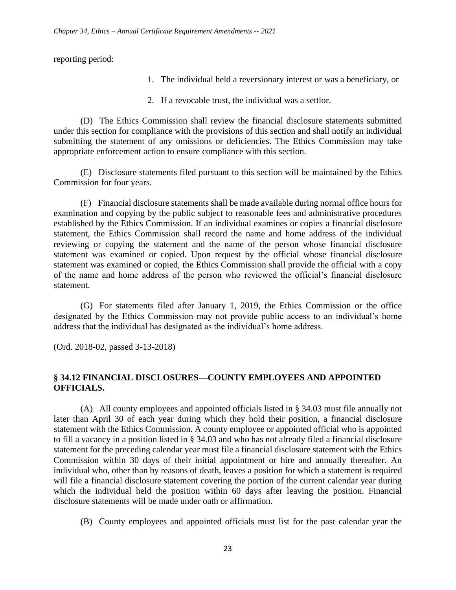reporting period:

- 1. The individual held a reversionary interest or was a beneficiary, or
- 2. If a revocable trust, the individual was a settlor.

(D) The Ethics Commission shall review the financial disclosure statements submitted under this section for compliance with the provisions of this section and shall notify an individual submitting the statement of any omissions or deficiencies. The Ethics Commission may take appropriate enforcement action to ensure compliance with this section.

(E) Disclosure statements filed pursuant to this section will be maintained by the Ethics Commission for four years.

(F) Financial disclosure statements shall be made available during normal office hours for examination and copying by the public subject to reasonable fees and administrative procedures established by the Ethics Commission. If an individual examines or copies a financial disclosure statement, the Ethics Commission shall record the name and home address of the individual reviewing or copying the statement and the name of the person whose financial disclosure statement was examined or copied. Upon request by the official whose financial disclosure statement was examined or copied, the Ethics Commission shall provide the official with a copy of the name and home address of the person who reviewed the official's financial disclosure statement.

(G) For statements filed after January 1, 2019, the Ethics Commission or the office designated by the Ethics Commission may not provide public access to an individual's home address that the individual has designated as the individual's home address.

(Ord. 2018-02, passed 3-13-2018)

### **§ 34.12 FINANCIAL DISCLOSURES—COUNTY EMPLOYEES AND APPOINTED OFFICIALS.**

(A) All county employees and appointed officials listed in § 34.03 must file annually not later than April 30 of each year during which they hold their position, a financial disclosure statement with the Ethics Commission. A county employee or appointed official who is appointed to fill a vacancy in a position listed in § 34.03 and who has not already filed a financial disclosure statement for the preceding calendar year must file a financial disclosure statement with the Ethics Commission within 30 days of their initial appointment or hire and annually thereafter. An individual who, other than by reasons of death, leaves a position for which a statement is required will file a financial disclosure statement covering the portion of the current calendar year during which the individual held the position within 60 days after leaving the position. Financial disclosure statements will be made under oath or affirmation.

(B) County employees and appointed officials must list for the past calendar year the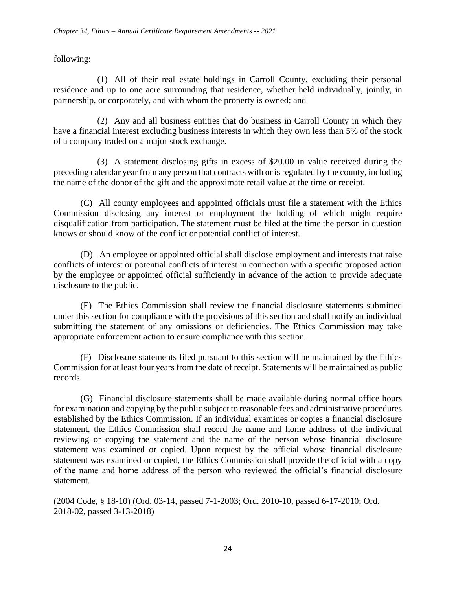following:

(1) All of their real estate holdings in Carroll County, excluding their personal residence and up to one acre surrounding that residence, whether held individually, jointly, in partnership, or corporately, and with whom the property is owned; and

(2) Any and all business entities that do business in Carroll County in which they have a financial interest excluding business interests in which they own less than 5% of the stock of a company traded on a major stock exchange.

(3) A statement disclosing gifts in excess of \$20.00 in value received during the preceding calendar year from any person that contracts with or is regulated by the county, including the name of the donor of the gift and the approximate retail value at the time or receipt.

(C) All county employees and appointed officials must file a statement with the Ethics Commission disclosing any interest or employment the holding of which might require disqualification from participation. The statement must be filed at the time the person in question knows or should know of the conflict or potential conflict of interest.

(D) An employee or appointed official shall disclose employment and interests that raise conflicts of interest or potential conflicts of interest in connection with a specific proposed action by the employee or appointed official sufficiently in advance of the action to provide adequate disclosure to the public.

(E) The Ethics Commission shall review the financial disclosure statements submitted under this section for compliance with the provisions of this section and shall notify an individual submitting the statement of any omissions or deficiencies. The Ethics Commission may take appropriate enforcement action to ensure compliance with this section.

(F) Disclosure statements filed pursuant to this section will be maintained by the Ethics Commission for at least four years from the date of receipt. Statements will be maintained as public records.

(G) Financial disclosure statements shall be made available during normal office hours for examination and copying by the public subject to reasonable fees and administrative procedures established by the Ethics Commission. If an individual examines or copies a financial disclosure statement, the Ethics Commission shall record the name and home address of the individual reviewing or copying the statement and the name of the person whose financial disclosure statement was examined or copied. Upon request by the official whose financial disclosure statement was examined or copied, the Ethics Commission shall provide the official with a copy of the name and home address of the person who reviewed the official's financial disclosure statement.

(2004 Code, § 18-10) (Ord. 03-14, passed 7-1-2003; Ord. 2010-10, passed 6-17-2010; Ord. 2018-02, passed 3-13-2018)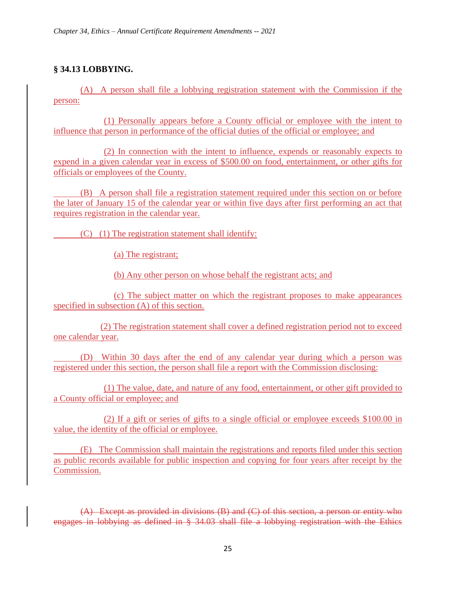# **§ 34.13 LOBBYING.**

(A) A person shall file a lobbying registration statement with the Commission if the person:

(1) Personally appears before a County official or employee with the intent to influence that person in performance of the official duties of the official or employee; and

(2) In connection with the intent to influence, expends or reasonably expects to expend in a given calendar year in excess of \$500.00 on food, entertainment, or other gifts for officials or employees of the County.

(B) A person shall file a registration statement required under this section on or before the later of January 15 of the calendar year or within five days after first performing an act that requires registration in the calendar year.

(C) (1) The registration statement shall identify:

(a) The registrant;

(b) Any other person on whose behalf the registrant acts; and

(c) The subject matter on which the registrant proposes to make appearances specified in subsection (A) of this section.

(2) The registration statement shall cover a defined registration period not to exceed one calendar year.

(D) Within 30 days after the end of any calendar year during which a person was registered under this section, the person shall file a report with the Commission disclosing:

(1) The value, date, and nature of any food, entertainment, or other gift provided to a County official or employee; and

(2) If a gift or series of gifts to a single official or employee exceeds \$100.00 in value, the identity of the official or employee.

(E) The Commission shall maintain the registrations and reports filed under this section as public records available for public inspection and copying for four years after receipt by the Commission.

(A) Except as provided in divisions (B) and (C) of this section, a person or entity who engages in lobbying as defined in § 34.03 shall file a lobbying registration with the Ethics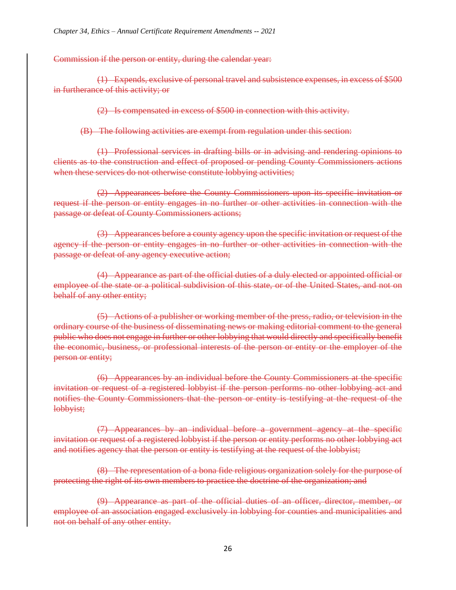Commission if the person or entity, during the calendar year:

(1) Expends, exclusive of personal travel and subsistence expenses, in excess of \$500 in furtherance of this activity; or

(2) Is compensated in excess of \$500 in connection with this activity.

(B) The following activities are exempt from regulation under this section:

(1) Professional services in drafting bills or in advising and rendering opinions to clients as to the construction and effect of proposed or pending County Commissioners actions when these services do not otherwise constitute lobbying activities;

(2) Appearances before the County Commissioners upon its specific invitation or request if the person or entity engages in no further or other activities in connection with the passage or defeat of County Commissioners actions;

(3) Appearances before a county agency upon the specific invitation or request of the agency if the person or entity engages in no further or other activities in connection with the passage or defeat of any agency executive action;

(4) Appearance as part of the official duties of a duly elected or appointed official or employee of the state or a political subdivision of this state, or of the United States, and not on behalf of any other entity;

(5) Actions of a publisher or working member of the press, radio, or television in the ordinary course of the business of disseminating news or making editorial comment to the general public who does not engage in further or other lobbying that would directly and specifically benefit the economic, business, or professional interests of the person or entity or the employer of the person or entity;

(6) Appearances by an individual before the County Commissioners at the specific invitation or request of a registered lobbyist if the person performs no other lobbying act and notifies the County Commissioners that the person or entity is testifying at the request of the lobbyist;

(7) Appearances by an individual before a government agency at the specific invitation or request of a registered lobbyist if the person or entity performs no other lobbying act and notifies agency that the person or entity is testifying at the request of the lobbyist;

(8) The representation of a bona fide religious organization solely for the purpose of protecting the right of its own members to practice the doctrine of the organization; and

(9) Appearance as part of the official duties of an officer, director, member, or employee of an association engaged exclusively in lobbying for counties and municipalities and not on behalf of any other entity.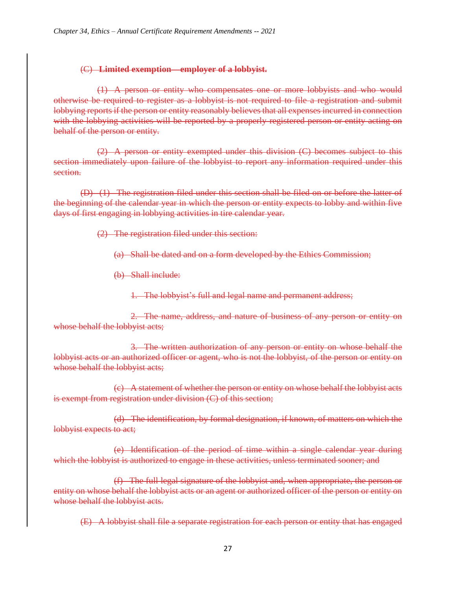#### (C) **Limited exemption—employer of a lobbyist.**

(1) A person or entity who compensates one or more lobbyists and who would otherwise be required to register as a lobbyist is not required to file a registration and submit lobbying reports if the person or entity reasonably believes that all expenses incurred in connection with the lobbying activities will be reported by a properly registered person or entity acting on behalf of the person or entity.

(2) A person or entity exempted under this division (C) becomes subject to this section immediately upon failure of the lobbyist to report any information required under this section.

(D) (1) The registration filed under this section shall be filed on or before the latter of the beginning of the calendar year in which the person or entity expects to lobby and within five days of first engaging in lobbying activities in tire calendar year.

(2) The registration filed under this section:

(a) Shall be dated and on a form developed by the Ethics Commission;

(b) Shall include:

1. The lobbyist's full and legal name and permanent address;

2. The name, address, and nature of business of any person or entity on whose behalf the lobbyist acts;

3. The written authorization of any person or entity on whose behalf the lobbyist acts or an authorized officer or agent, who is not the lobbyist, of the person or entity on whose behalf the lobbyist acts;

(c) A statement of whether the person or entity on whose behalf the lobbyist acts is exempt from registration under division (C) of this section;

(d) The identification, by formal designation, if known, of matters on which the lobbyist expects to act;

(e) Identification of the period of time within a single calendar year during which the lobbyist is authorized to engage in these activities, unless terminated sooner; and

(f) The full legal signature of the lobbyist and, when appropriate, the person or entity on whose behalf the lobbyist acts or an agent or authorized officer of the person or entity on whose behalf the lobbyist acts.

(E) A lobbyist shall file a separate registration for each person or entity that has engaged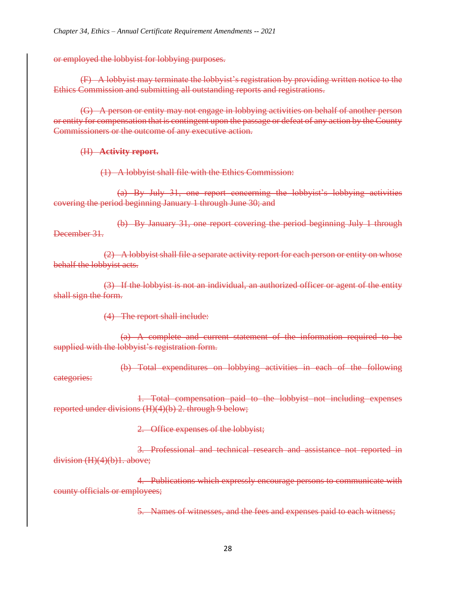or employed the lobbyist for lobbying purposes.

(F) A lobbyist may terminate the lobbyist's registration by providing written notice to the Ethics Commission and submitting all outstanding reports and registrations.

(G) A person or entity may not engage in lobbying activities on behalf of another person or entity for compensation that is contingent upon the passage or defeat of any action by the County Commissioners or the outcome of any executive action.

#### (H) **Activity report.**

(1) A lobbyist shall file with the Ethics Commission:

(a) By July 31, one report concerning the lobbyist's lobbying activities covering the period beginning January 1 through June 30; and

(b) By January 31, one report covering the period beginning July 1 through December 31.

(2) A lobbyist shall file a separate activity report for each person or entity on whose behalf the lobbyist acts.

(3) If the lobbyist is not an individual, an authorized officer or agent of the entity shall sign the form.

(4) The report shall include:

(a) A complete and current statement of the information required to be supplied with the lobbyist's registration form.

(b) Total expenditures on lobbying activities in each of the following categories:

1. Total compensation paid to the lobbyist not including expenses reported under divisions (H)(4)(b) 2. through 9 below;

2. Office expenses of the lobbyist;

3. Professional and technical research and assistance not reported in division  $(H)(4)(b)1$ . above;

4. Publications which expressly encourage persons to communicate with county officials or employees;

5. Names of witnesses, and the fees and expenses paid to each witness;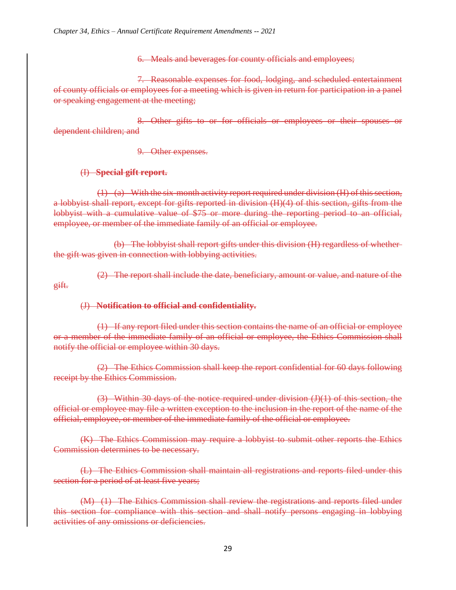6. Meals and beverages for county officials and employees;

7. Reasonable expenses for food, lodging, and scheduled entertainment of county officials or employees for a meeting which is given in return for participation in a panel or speaking engagement at the meeting;

8. Other gifts to or for officials or employees or their spouses or dependent children; and

9. Other expenses.

(I) **Special gift report.**

(1) (a) With the six-month activity report required under division (H) of this section, a lobbyist shall report, except for gifts reported in division (H)(4) of this section, gifts from the lobbyist with a cumulative value of \$75 or more during the reporting period to an official, employee, or member of the immediate family of an official or employee.

(b) The lobbyist shall report gifts under this division (H) regardless of whether the gift was given in connection with lobbying activities.

(2) The report shall include the date, beneficiary, amount or value, and nature of the gift.

### (J) **Notification to official and confidentiality.**

(1) If any report filed under this section contains the name of an official or employee or a member of the immediate family of an official or employee, the Ethics Commission shall notify the official or employee within 30 days.

(2) The Ethics Commission shall keep the report confidential for 60 days following receipt by the Ethics Commission.

 $(3)$  Within 30 days of the notice required under division  $(J)(1)$  of this section, the official or employee may file a written exception to the inclusion in the report of the name of the official, employee, or member of the immediate family of the official or employee.

(K) The Ethics Commission may require a lobbyist to submit other reports the Ethics Commission determines to be necessary.

(L) The Ethics Commission shall maintain all registrations and reports filed under this section for a period of at least five years;

(M) (1) The Ethics Commission shall review the registrations and reports filed under this section for compliance with this section and shall notify persons engaging in lobbying activities of any omissions or deficiencies.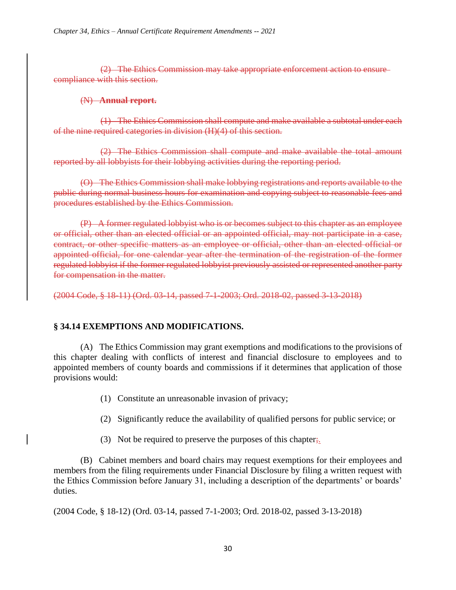(2) The Ethics Commission may take appropriate enforcement action to ensure compliance with this section.

#### (N) **Annual report.**

(1) The Ethics Commission shall compute and make available a subtotal under each of the nine required categories in division (H)(4) of this section.

(2) The Ethics Commission shall compute and make available the total amount reported by all lobbyists for their lobbying activities during the reporting period.

(O) The Ethics Commission shall make lobbying registrations and reports available to the public during normal business hours for examination and copying subject to reasonable fees and procedures established by the Ethics Commission.

(P) A former regulated lobbyist who is or becomes subject to this chapter as an employee or official, other than an elected official or an appointed official, may not participate in a case, contract, or other specific matters as an employee or official, other than an elected official or appointed official, for one calendar year after the termination of the registration of the former regulated lobbyist if the former regulated lobbyist previously assisted or represented another party for compensation in the matter.

(2004 Code, § 18-11) (Ord. 03-14, passed 7-1-2003; Ord. 2018-02, passed 3-13-2018)

#### **§ 34.14 EXEMPTIONS AND MODIFICATIONS.**

(A) The Ethics Commission may grant exemptions and modifications to the provisions of this chapter dealing with conflicts of interest and financial disclosure to employees and to appointed members of county boards and commissions if it determines that application of those provisions would:

- (1) Constitute an unreasonable invasion of privacy;
- (2) Significantly reduce the availability of qualified persons for public service; or
- (3) Not be required to preserve the purposes of this chapter;

(B) Cabinet members and board chairs may request exemptions for their employees and members from the filing requirements under Financial Disclosure by filing a written request with the Ethics Commission before January 31, including a description of the departments' or boards' duties.

(2004 Code, § 18-12) (Ord. 03-14, passed 7-1-2003; Ord. 2018-02, passed 3-13-2018)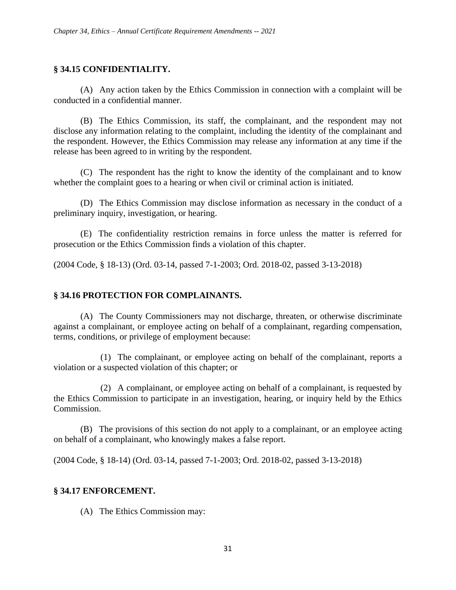#### **§ 34.15 CONFIDENTIALITY.**

(A) Any action taken by the Ethics Commission in connection with a complaint will be conducted in a confidential manner.

(B) The Ethics Commission, its staff, the complainant, and the respondent may not disclose any information relating to the complaint, including the identity of the complainant and the respondent. However, the Ethics Commission may release any information at any time if the release has been agreed to in writing by the respondent.

(C) The respondent has the right to know the identity of the complainant and to know whether the complaint goes to a hearing or when civil or criminal action is initiated.

(D) The Ethics Commission may disclose information as necessary in the conduct of a preliminary inquiry, investigation, or hearing.

(E) The confidentiality restriction remains in force unless the matter is referred for prosecution or the Ethics Commission finds a violation of this chapter.

(2004 Code, § 18-13) (Ord. 03-14, passed 7-1-2003; Ord. 2018-02, passed 3-13-2018)

#### **§ 34.16 PROTECTION FOR COMPLAINANTS.**

(A) The County Commissioners may not discharge, threaten, or otherwise discriminate against a complainant, or employee acting on behalf of a complainant, regarding compensation, terms, conditions, or privilege of employment because:

(1) The complainant, or employee acting on behalf of the complainant, reports a violation or a suspected violation of this chapter; or

(2) A complainant, or employee acting on behalf of a complainant, is requested by the Ethics Commission to participate in an investigation, hearing, or inquiry held by the Ethics Commission.

(B) The provisions of this section do not apply to a complainant, or an employee acting on behalf of a complainant, who knowingly makes a false report.

(2004 Code, § 18-14) (Ord. 03-14, passed 7-1-2003; Ord. 2018-02, passed 3-13-2018)

#### **§ 34.17 ENFORCEMENT.**

(A) The Ethics Commission may: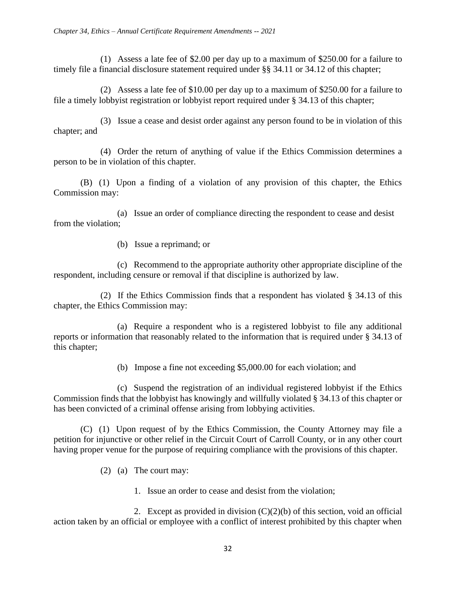(1) Assess a late fee of \$2.00 per day up to a maximum of \$250.00 for a failure to timely file a financial disclosure statement required under §§ 34.11 or 34.12 of this chapter;

(2) Assess a late fee of \$10.00 per day up to a maximum of \$250.00 for a failure to file a timely lobbyist registration or lobbyist report required under § 34.13 of this chapter;

(3) Issue a cease and desist order against any person found to be in violation of this chapter; and

(4) Order the return of anything of value if the Ethics Commission determines a person to be in violation of this chapter.

(B) (1) Upon a finding of a violation of any provision of this chapter, the Ethics Commission may:

(a) Issue an order of compliance directing the respondent to cease and desist from the violation;

(b) Issue a reprimand; or

(c) Recommend to the appropriate authority other appropriate discipline of the respondent, including censure or removal if that discipline is authorized by law.

(2) If the Ethics Commission finds that a respondent has violated § 34.13 of this chapter, the Ethics Commission may:

(a) Require a respondent who is a registered lobbyist to file any additional reports or information that reasonably related to the information that is required under § 34.13 of this chapter;

(b) Impose a fine not exceeding \$5,000.00 for each violation; and

(c) Suspend the registration of an individual registered lobbyist if the Ethics Commission finds that the lobbyist has knowingly and willfully violated § 34.13 of this chapter or has been convicted of a criminal offense arising from lobbying activities.

(C) (1) Upon request of by the Ethics Commission, the County Attorney may file a petition for injunctive or other relief in the Circuit Court of Carroll County, or in any other court having proper venue for the purpose of requiring compliance with the provisions of this chapter.

- (2) (a) The court may:
	- 1. Issue an order to cease and desist from the violation;

2. Except as provided in division  $(C)(2)(b)$  of this section, void an official action taken by an official or employee with a conflict of interest prohibited by this chapter when